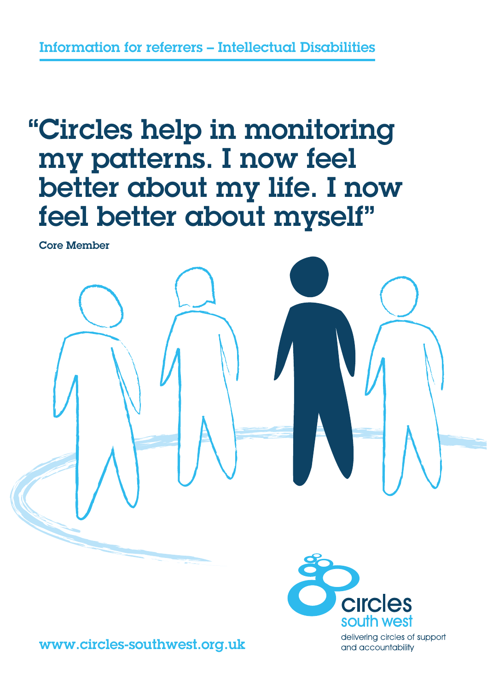# "Circles help in monitoring my patterns. I now feel better about my life. I now feel better about myself"

Core Member





delivering circles of support and accountability

www.circles-southwest.org.uk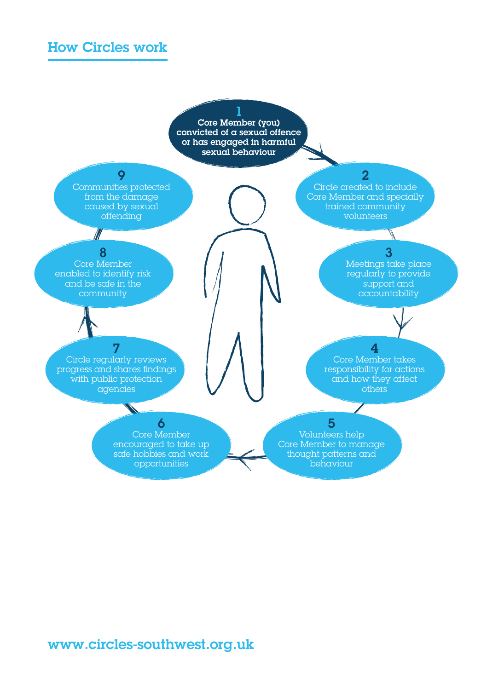#### How Circles work

1 Core Member (you) convicted of a sexual offence or has engaged in harmful sexual behaviour



### www.circles-southwest.org.uk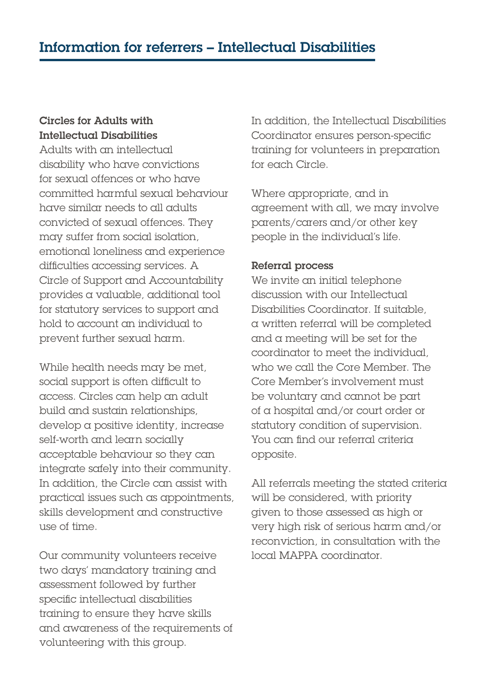#### Circles for Adults with Intellectual Disabilities

Adults with an intellectual disability who have convictions for sexual offences or who have committed harmful sexual behaviour have similar needs to all adults convicted of sexual offences. They may suffer from social isolation, emotional loneliness and experience difficulties accessing services. A Circle of Support and Accountability provides a valuable, additional tool for statutory services to support and hold to account an individual to prevent further sexual harm.

While health needs may be met, social support is often difficult to access. Circles can help an adult build and sustain relationships, develop a positive identity, increase self-worth and learn socially acceptable behaviour so they can integrate safely into their community. In addition, the Circle can assist with practical issues such as appointments, skills development and constructive use of time.

Our community volunteers receive two days' mandatory training and assessment followed by further specific intellectual disabilities training to ensure they have skills and awareness of the requirements of volunteering with this group.

In addition, the Intellectual Disabilities Coordinator ensures person-specific training for volunteers in preparation for each Circle.

Where appropriate, and in agreement with all, we may involve parents/carers and/or other key people in the individual's life.

#### Referral process

We invite an initial telephone discussion with our Intellectual Disabilities Coordinator. If suitable, a written referral will be completed and  $\alpha$  meeting will be set for the coordinator to meet the individual, who we call the Core Member. The Core Member's involvement must be voluntary and cannot be part of a hospital and/or court order or statutory condition of supervision. You can find our referral criteria opposite.

All referrals meeting the stated criteria will be considered, with priority given to those assessed as high or very high risk of serious harm and/or reconviction, in consultation with the local MAPPA coordinator.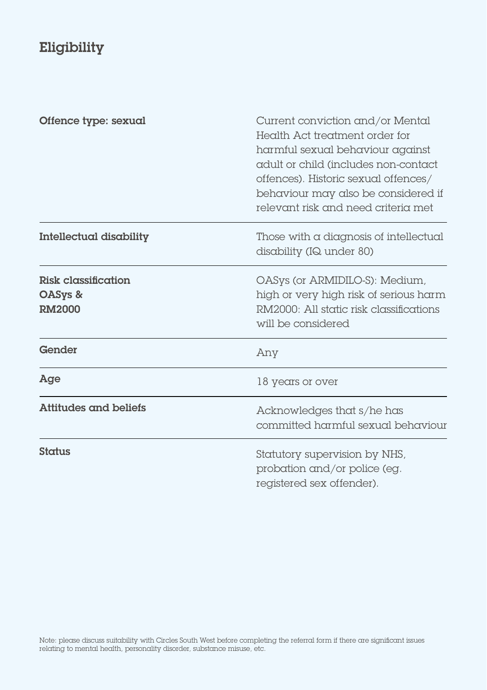## Eligibility

| Offence type: sexual                            | Current conviction and/or Mental<br>Health Act treatment order for<br>harmful sexual behaviour against<br>adult or child (includes non-contact<br>offences). Historic sexual offences/<br>behaviour may also be considered if<br>relevant risk and need criteria met |
|-------------------------------------------------|----------------------------------------------------------------------------------------------------------------------------------------------------------------------------------------------------------------------------------------------------------------------|
| Intellectual disability                         | Those with a diagnosis of intellectual<br>disability (IQ under 80)                                                                                                                                                                                                   |
| Risk classification<br>OASys &<br><b>RM2000</b> | OASys (or ARMIDILO-S): Medium,<br>high or very high risk of serious harm<br>RM2000: All static risk classifications<br>will be considered                                                                                                                            |
| Gender                                          | Any                                                                                                                                                                                                                                                                  |
| Age                                             | 18 years or over                                                                                                                                                                                                                                                     |
| Attitudes and beliefs                           | Acknowledges that s/he has<br>committed harmful sexual behaviour                                                                                                                                                                                                     |
| <b>Status</b>                                   | Statutory supervision by NHS,<br>probation and/or police (eg.<br>registered sex offender).                                                                                                                                                                           |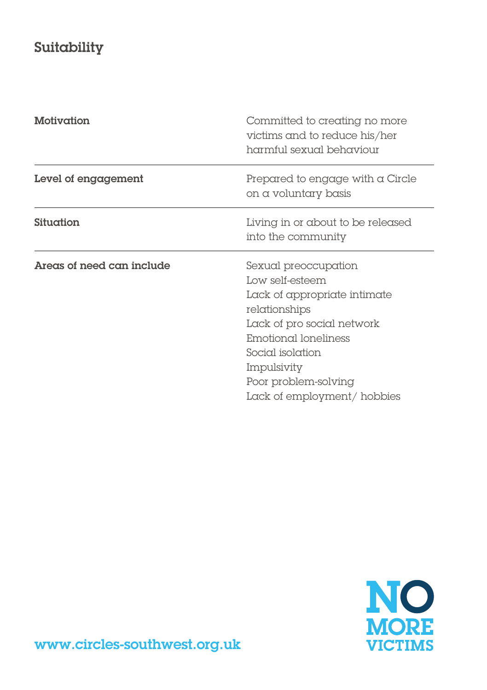## Suitability

| Motivation                | Committed to creating no more<br>victims and to reduce his/her<br>harmful sexual behaviour                                                                                                                                               |
|---------------------------|------------------------------------------------------------------------------------------------------------------------------------------------------------------------------------------------------------------------------------------|
| Level of engagement       | Prepared to engage with a Circle<br>on a voluntary basis                                                                                                                                                                                 |
| Situation                 | Living in or about to be released<br>into the community                                                                                                                                                                                  |
| Areas of need can include | Sexual preoccupation<br>Low self-esteem<br>Lack of appropriate intimate<br>relationships<br>Lack of pro social network<br>Emotional loneliness<br>Social isolation<br>Impulsivity<br>Poor problem-solving<br>Lack of employment/ hobbies |